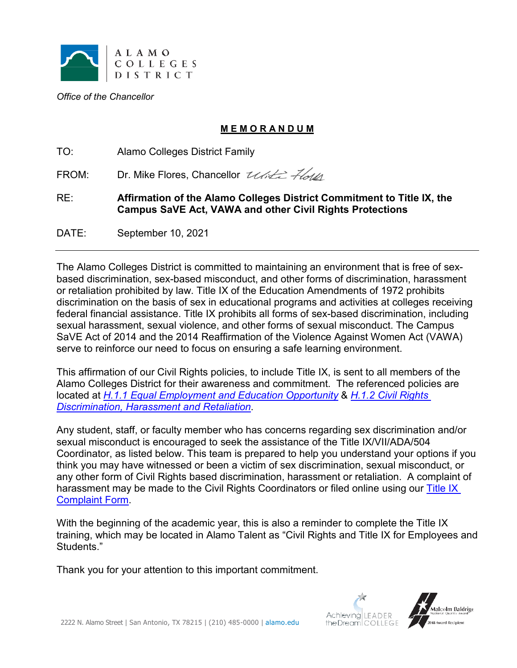

*Office of the Chancellor*

## **M E M O R A N D U M**

TO: Alamo Colleges District Family

FROM: Dr. Mike Flores, Chancellor Ulitz Flott

RE: **Affirmation of the Alamo Colleges District Commitment to Title IX, the Campus SaVE Act, VAWA and other Civil Rights Protections**

DATE: September 10, 2021

The Alamo Colleges District is committed to maintaining an environment that is free of sexbased discrimination, sex-based misconduct, and other forms of discrimination, harassment or retaliation prohibited by law. Title IX of the Education Amendments of 1972 prohibits discrimination on the basis of sex in educational programs and activities at colleges receiving federal financial assistance. Title IX prohibits all forms of sex-based discrimination, including sexual harassment, sexual violence, and other forms of sexual misconduct. The Campus SaVE Act of 2014 and the 2014 Reaffirmation of the Violence Against Women Act (VAWA) serve to reinforce our need to focus on ensuring a safe learning environment.

This affirmation of our Civil Rights policies, to include Title IX, is sent to all members of the Alamo Colleges District for their awareness and commitment. The referenced policies are located at *[H.1.1 Equal Employment and Education Opportunity](https://www.alamo.edu/link/49a5557d328846b98059add9a28166b3.aspx)* & *[H.1.2 Civil Rights](https://www.alamo.edu/link/bddbd6057f27474b8207b6dbcf9741e3.aspx)  [Discrimination, Harassment and Retaliation](https://www.alamo.edu/link/bddbd6057f27474b8207b6dbcf9741e3.aspx)*.

Any student, staff, or faculty member who has concerns regarding sex discrimination and/or sexual misconduct is encouraged to seek the assistance of the Title IX/VII/ADA/504 Coordinator, as listed below. This team is prepared to help you understand your options if you think you may have witnessed or been a victim of sex discrimination, sexual misconduct, or any other form of Civil Rights based discrimination, harassment or retaliation. A complaint of harassment may be made to the Civil Rights Coordinators or filed online using our Title IX [Complaint Form.](http://www.alamo.edu/TitleIXCoordinator/)

With the beginning of the academic year, this is also a reminder to complete the Title IX training, which may be located in Alamo Talent as "Civil Rights and Title IX for Employees and Students."

Thank you for your attention to this important commitment.



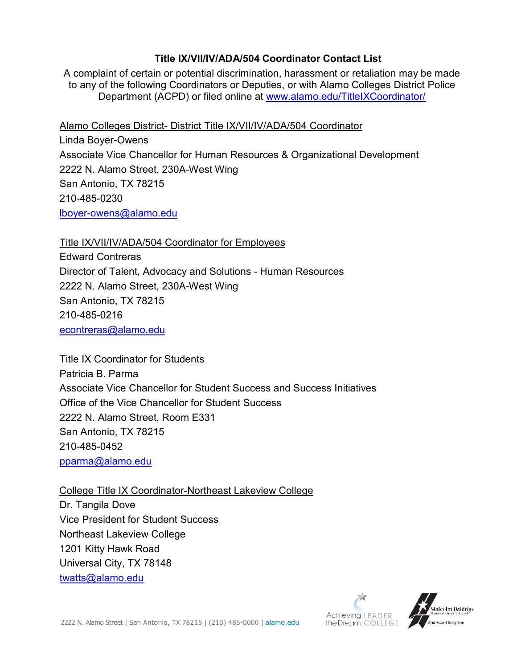## **Title IX/VII/IV/ADA/504 Coordinator Contact List**

A complaint of certain or potential discrimination, harassment or retaliation may be made to any of the following Coordinators or Deputies, or with Alamo Colleges District Police Department (ACPD) or filed online at [www.alamo.edu/TitleIXCoordinator/](http://www.alamo.edu/TitleIXCoordinator/)

Alamo Colleges District- District Title IX/VII/IV/ADA/504 Coordinator

Linda Boyer-Owens Associate Vice Chancellor for Human Resources & Organizational Development 2222 N. Alamo Street, 230A-West Wing San Antonio, TX 78215 210-485-0230 [lboyer-owens@alamo.edu](mailto:lboyer-owens@alamo.edu)

Title IX/VII/IV/ADA/504 Coordinator for Employees

Edward Contreras Director of Talent, Advocacy and Solutions - Human Resources 2222 N. Alamo Street, 230A-West Wing San Antonio, TX 78215 210-485-0216 [econtreras@alamo.edu](mailto:econtreras@alamo.edu)

Title IX Coordinator for Students

Patricia B. Parma Associate Vice Chancellor for Student Success and Success Initiatives Office of the Vice Chancellor for Student Success 2222 N. Alamo Street, Room E331 San Antonio, TX 78215 210-485-0452 [pparma@alamo.edu](mailto:pparma@alamo.edu)

College Title IX Coordinator-Northeast Lakeview College Dr. Tangila Dove Vice President for Student Success Northeast Lakeview College 1201 Kitty Hawk Road Universal City, TX 78148 [twatts@alamo.edu](mailto:twatts@alamo.edu)